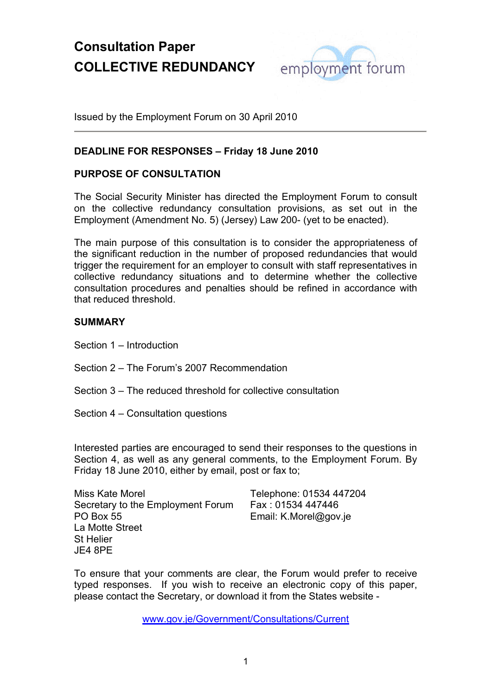

Issued by the Employment Forum on 30 April 2010

### **DEADLINE FOR RESPONSES – Friday 18 June 2010**

### **PURPOSE OF CONSULTATION**

The Social Security Minister has directed the Employment Forum to consult on the collective redundancy consultation provisions, as set out in the Employment (Amendment No. 5) (Jersey) Law 200- (yet to be enacted).

The main purpose of this consultation is to consider the appropriateness of the significant reduction in the number of proposed redundancies that would trigger the requirement for an employer to consult with staff representatives in collective redundancy situations and to determine whether the collective consultation procedures and penalties should be refined in accordance with that reduced threshold.

### **SUMMARY**

Section 1 – Introduction

- Section 2 The Forum's 2007 Recommendation
- Section 3 The reduced threshold for collective consultation
- Section 4 Consultation questions

Interested parties are encouraged to send their responses to the questions in Section 4, as well as any general comments, to the Employment Forum. By Friday 18 June 2010, either by email, post or fax to;

| Miss Kate Morel                   |  |
|-----------------------------------|--|
| Secretary to the Employment Forum |  |
| <b>PO Box 55</b>                  |  |
| La Motte Street                   |  |
| St Helier                         |  |
| JE4 8PE                           |  |

Telephone: 01534 447204 Fax : 01534 447446 Email: K.Morel@gov.je

To ensure that your comments are clear, the Forum would prefer to receive typed responses. If you wish to receive an electronic copy of this paper, please contact the Secretary, or download it from the States website -

www.gov.je/Government/Consultations/Current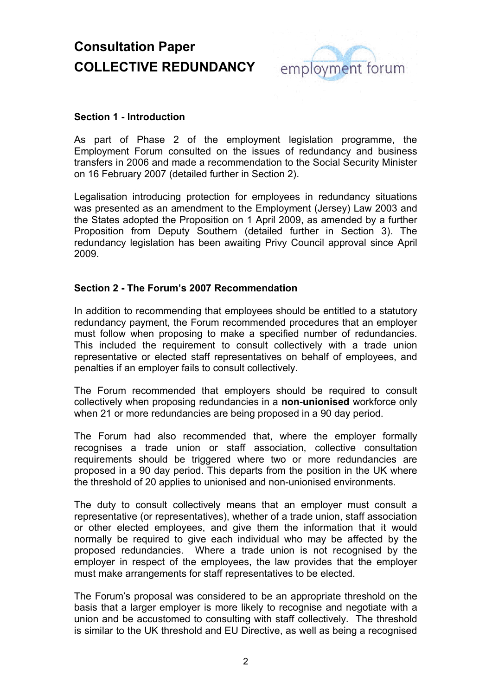

### **Section 1 - Introduction**

As part of Phase 2 of the employment legislation programme, the Employment Forum consulted on the issues of redundancy and business transfers in 2006 and made a recommendation to the Social Security Minister on 16 February 2007 (detailed further in Section 2).

Legalisation introducing protection for employees in redundancy situations was presented as an amendment to the Employment (Jersey) Law 2003 and the States adopted the Proposition on 1 April 2009, as amended by a further Proposition from Deputy Southern (detailed further in Section 3). The redundancy legislation has been awaiting Privy Council approval since April 2009.

### **Section 2 - The Forum's 2007 Recommendation**

In addition to recommending that employees should be entitled to a statutory redundancy payment, the Forum recommended procedures that an employer must follow when proposing to make a specified number of redundancies. This included the requirement to consult collectively with a trade union representative or elected staff representatives on behalf of employees, and penalties if an employer fails to consult collectively.

The Forum recommended that employers should be required to consult collectively when proposing redundancies in a **non-unionised** workforce only when 21 or more redundancies are being proposed in a 90 day period.

The Forum had also recommended that, where the employer formally recognises a trade union or staff association, collective consultation requirements should be triggered where two or more redundancies are proposed in a 90 day period. This departs from the position in the UK where the threshold of 20 applies to unionised and non-unionised environments.

The duty to consult collectively means that an employer must consult a representative (or representatives), whether of a trade union, staff association or other elected employees, and give them the information that it would normally be required to give each individual who may be affected by the proposed redundancies. Where a trade union is not recognised by the employer in respect of the employees, the law provides that the employer must make arrangements for staff representatives to be elected.

The Forum's proposal was considered to be an appropriate threshold on the basis that a larger employer is more likely to recognise and negotiate with a union and be accustomed to consulting with staff collectively. The threshold is similar to the UK threshold and EU Directive, as well as being a recognised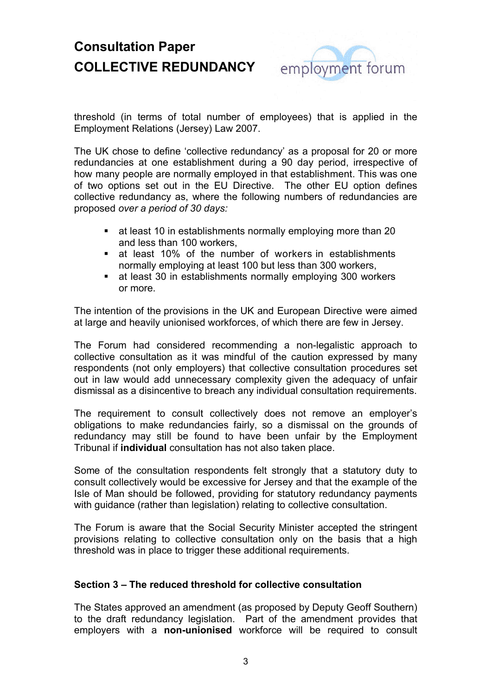

threshold (in terms of total number of employees) that is applied in the Employment Relations (Jersey) Law 2007.

The UK chose to define 'collective redundancy' as a proposal for 20 or more redundancies at one establishment during a 90 day period, irrespective of how many people are normally employed in that establishment. This was one of two options set out in the EU Directive. The other EU option defines collective redundancy as, where the following numbers of redundancies are proposed *over a period of 30 days:*

- at least 10 in establishments normally employing more than 20 and less than 100 workers,
- at least 10% of the number of workers in establishments normally employing at least 100 but less than 300 workers,
- at least 30 in establishments normally employing 300 workers or more.

The intention of the provisions in the UK and European Directive were aimed at large and heavily unionised workforces, of which there are few in Jersey.

The Forum had considered recommending a non-legalistic approach to collective consultation as it was mindful of the caution expressed by many respondents (not only employers) that collective consultation procedures set out in law would add unnecessary complexity given the adequacy of unfair dismissal as a disincentive to breach any individual consultation requirements.

The requirement to consult collectively does not remove an employer's obligations to make redundancies fairly, so a dismissal on the grounds of redundancy may still be found to have been unfair by the Employment Tribunal if **individual** consultation has not also taken place.

Some of the consultation respondents felt strongly that a statutory duty to consult collectively would be excessive for Jersey and that the example of the Isle of Man should be followed, providing for statutory redundancy payments with guidance (rather than legislation) relating to collective consultation.

The Forum is aware that the Social Security Minister accepted the stringent provisions relating to collective consultation only on the basis that a high threshold was in place to trigger these additional requirements.

### **Section 3 – The reduced threshold for collective consultation**

The States approved an amendment (as proposed by Deputy Geoff Southern) to the draft redundancy legislation. Part of the amendment provides that employers with a **non-unionised** workforce will be required to consult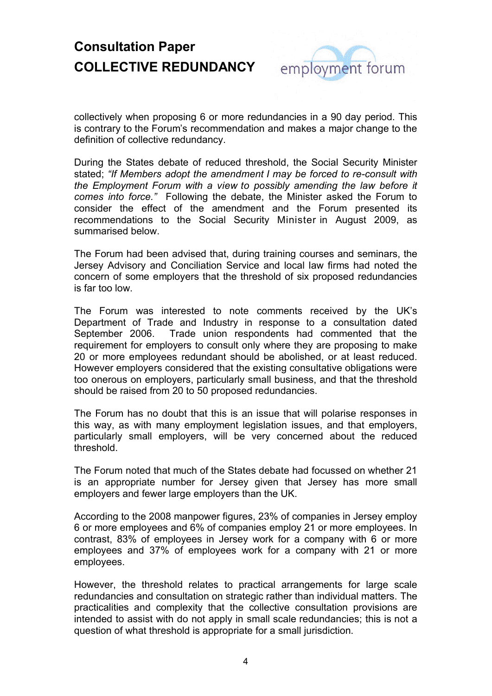

collectively when proposing 6 or more redundancies in a 90 day period. This is contrary to the Forum's recommendation and makes a major change to the definition of collective redundancy.

During the States debate of reduced threshold, the Social Security Minister stated; *"If Members adopt the amendment I may be forced to re-consult with the Employment Forum with a view to possibly amending the law before it comes into force."* Following the debate, the Minister asked the Forum to consider the effect of the amendment and the Forum presented its recommendations to the Social Security Minister in August 2009, as summarised below.

The Forum had been advised that, during training courses and seminars, the Jersey Advisory and Conciliation Service and local law firms had noted the concern of some employers that the threshold of six proposed redundancies is far too low.

The Forum was interested to note comments received by the UK's Department of Trade and Industry in response to a consultation dated September 2006. Trade union respondents had commented that the requirement for employers to consult only where they are proposing to make 20 or more employees redundant should be abolished, or at least reduced. However employers considered that the existing consultative obligations were too onerous on employers, particularly small business, and that the threshold should be raised from 20 to 50 proposed redundancies.

The Forum has no doubt that this is an issue that will polarise responses in this way, as with many employment legislation issues, and that employers, particularly small employers, will be very concerned about the reduced threshold.

The Forum noted that much of the States debate had focussed on whether 21 is an appropriate number for Jersey given that Jersey has more small employers and fewer large employers than the UK.

According to the 2008 manpower figures, 23% of companies in Jersey employ 6 or more employees and 6% of companies employ 21 or more employees. In contrast, 83% of employees in Jersey work for a company with 6 or more employees and 37% of employees work for a company with 21 or more employees.

However, the threshold relates to practical arrangements for large scale redundancies and consultation on strategic rather than individual matters. The practicalities and complexity that the collective consultation provisions are intended to assist with do not apply in small scale redundancies; this is not a question of what threshold is appropriate for a small jurisdiction.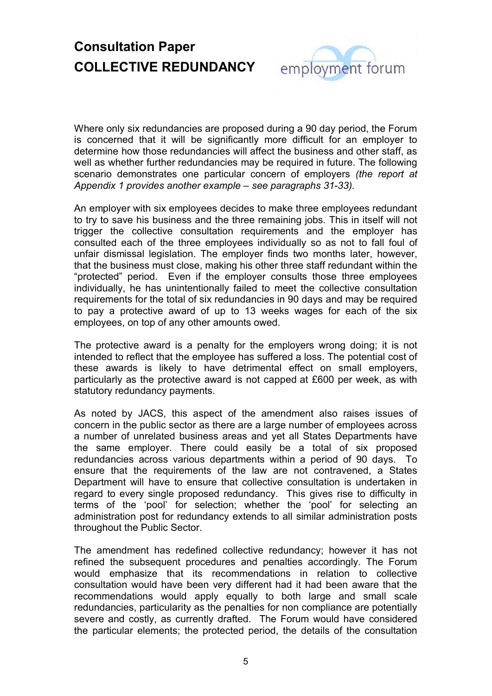

Where only six redundancies are proposed during a 90 day period, the Forum is concerned that it will be significantly more difficult for an employer to determine how those redundancies will affect the business and other staff, as well as whether further redundancies may be required in future. The following scenario demonstrates one particular concern of employers *(the report at Appendix 1 provides another example – see paragraphs 31-33).*

An employer with six employees decides to make three employees redundant to try to save his business and the three remaining jobs. This in itself will not trigger the collective consultation requirements and the employer has consulted each of the three employees individually so as not to fall foul of unfair dismissal legislation. The employer finds two months later, however, that the business must close, making his other three staff redundant within the "protected" period. Even if the employer consults those three employees individually, he has unintentionally failed to meet the collective consultation requirements for the total of six redundancies in 90 days and may be required to pay a protective award of up to 13 weeks wages for each of the six employees, on top of any other amounts owed.

The protective award is a penalty for the employers wrong doing; it is not intended to reflect that the employee has suffered a loss. The potential cost of these awards is likely to have detrimental effect on small employers, particularly as the protective award is not capped at £600 per week, as with statutory redundancy payments.

As noted by JACS, this aspect of the amendment also raises issues of concern in the public sector as there are a large number of employees across a number of unrelated business areas and yet all States Departments have the same employer. There could easily be a total of six proposed redundancies across various departments within a period of 90 days. To ensure that the requirements of the law are not contravened, a States Department will have to ensure that collective consultation is undertaken in regard to every single proposed redundancy. This gives rise to difficulty in terms of the 'pool' for selection; whether the 'pool' for selecting an administration post for redundancy extends to all similar administration posts throughout the Public Sector.

The amendment has redefined collective redundancy; however it has not refined the subsequent procedures and penalties accordingly. The Forum would emphasize that its recommendations in relation to collective consultation would have been very different had it had been aware that the recommendations would apply equally to both large and small scale redundancies, particularity as the penalties for non compliance are potentially severe and costly, as currently drafted. The Forum would have considered the particular elements; the protected period, the details of the consultation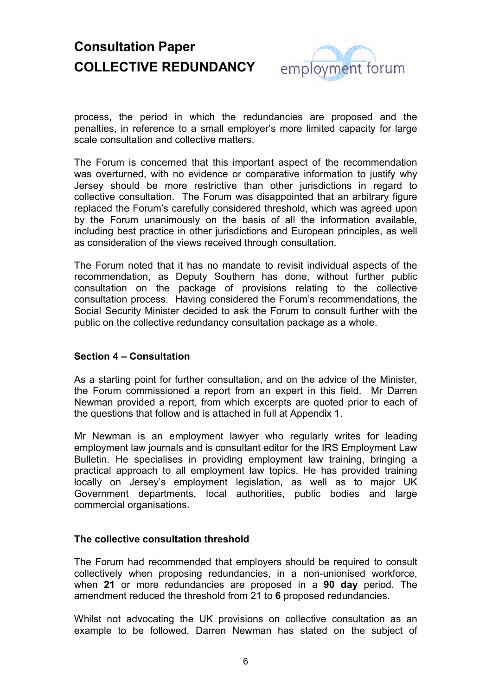

process, the period in which the redundancies are proposed and the penalties, in reference to a small employer's more limited capacity for large scale consultation and collective matters.

The Forum is concerned that this important aspect of the recommendation was overturned, with no evidence or comparative information to justify why Jersey should be more restrictive than other jurisdictions in regard to collective consultation. The Forum was disappointed that an arbitrary figure replaced the Forum's carefully considered threshold, which was agreed upon by the Forum unanimously on the basis of all the information available, including best practice in other jurisdictions and European principles, as well as consideration of the views received through consultation.

The Forum noted that it has no mandate to revisit individual aspects of the recommendation, as Deputy Southern has done, without further public consultation on the package of provisions relating to the collective consultation process. Having considered the Forum's recommendations, the Social Security Minister decided to ask the Forum to consult further with the public on the collective redundancy consultation package as a whole.

### **Section 4 – Consultation**

As a starting point for further consultation, and on the advice of the Minister, the Forum commissioned a report from an expert in this field. Mr Darren Newman provided a report, from which excerpts are quoted prior to each of the questions that follow and is attached in full at Appendix 1.

Mr Newman is an employment lawyer who regularly writes for leading employment law journals and is consultant editor for the IRS Employment Law Bulletin. He specialises in providing employment law training, bringing a practical approach to all employment law topics. He has provided training locally on Jersey's employment legislation, as well as to major UK Government departments, local authorities, public bodies and large commercial organisations.

### **The collective consultation threshold**

The Forum had recommended that employers should be required to consult collectively when proposing redundancies, in a non-unionised workforce, when **21** or more redundancies are proposed in a **90 day** period. The amendment reduced the threshold from 21 to **6** proposed redundancies.

Whilst not advocating the UK provisions on collective consultation as an example to be followed, Darren Newman has stated on the subject of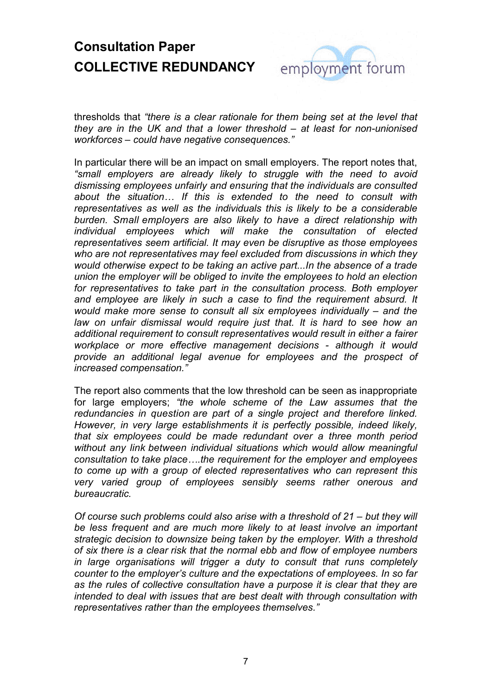

thresholds that *"there is a clear rationale for them being set at the level that they are in the UK and that a lower threshold – at least for non-unionised workforces – could have negative consequences."*

In particular there will be an impact on small employers. The report notes that, *"small employers are already likely to struggle with the need to avoid dismissing employees unfairly and ensuring that the individuals are consulted about the situation… If this is extended to the need to consult with representatives as well as the individuals this is likely to be a considerable burden. Small employers are also likely to have a direct relationship with individual employees which will make the consultation of elected representatives seem artificial. It may even be disruptive as those employees who are not representatives may feel excluded from discussions in which they would otherwise expect to be taking an active part...In the absence of a trade union the employer will be obliged to invite the employees to hold an election for representatives to take part in the consultation process. Both employer and employee are likely in such a case to find the requirement absurd. It would make more sense to consult all six employees individually – and the*  law on unfair dismissal would require just that. It is hard to see how an *additional requirement to consult representatives would result in either a fairer workplace or more effective management decisions - although it would provide an additional legal avenue for employees and the prospect of increased compensation."*

The report also comments that the low threshold can be seen as inappropriate for large employers; *"the whole scheme of the Law assumes that the redundancies in question are part of a single project and therefore linked. However, in very large establishments it is perfectly possible, indeed likely, that six employees could be made redundant over a three month period without any link between individual situations which would allow meaningful consultation to take place….the requirement for the employer and employees to come up with a group of elected representatives who can represent this very varied group of employees sensibly seems rather onerous and bureaucratic.*

*Of course such problems could also arise with a threshold of 21 – but they will be less frequent and are much more likely to at least involve an important strategic decision to downsize being taken by the employer. With a threshold of six there is a clear risk that the normal ebb and flow of employee numbers in large organisations will trigger a duty to consult that runs completely counter to the employer's culture and the expectations of employees. In so far as the rules of collective consultation have a purpose it is clear that they are intended to deal with issues that are best dealt with through consultation with representatives rather than the employees themselves."*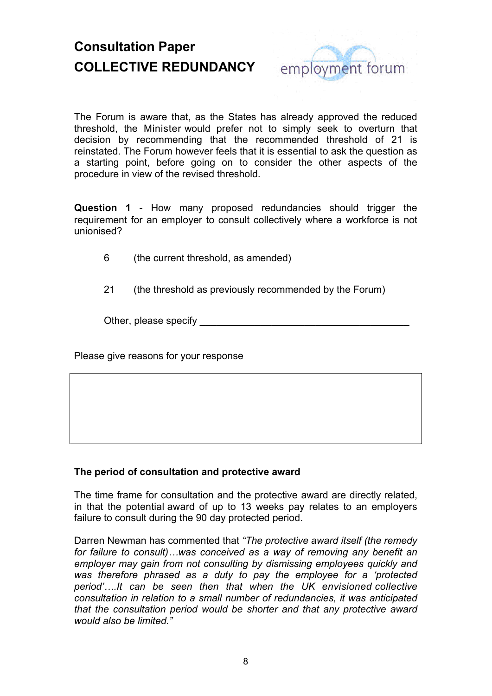

The Forum is aware that, as the States has already approved the reduced threshold, the Minister would prefer not to simply seek to overturn that decision by recommending that the recommended threshold of 21 is reinstated. The Forum however feels that it is essential to ask the question as a starting point, before going on to consider the other aspects of the procedure in view of the revised threshold.

**Question 1** - How many proposed redundancies should trigger the requirement for an employer to consult collectively where a workforce is not unionised?

- 6 (the current threshold, as amended)
- 21 (the threshold as previously recommended by the Forum)

Other, please specify

Please give reasons for your response

### **The period of consultation and protective award**

The time frame for consultation and the protective award are directly related, in that the potential award of up to 13 weeks pay relates to an employers failure to consult during the 90 day protected period.

Darren Newman has commented that *"The protective award itself (the remedy for failure to consult)…was conceived as a way of removing any benefit an employer may gain from not consulting by dismissing employees quickly and was therefore phrased as a duty to pay the employee for a 'protected period'….It can be seen then that when the UK envisioned collective consultation in relation to a small number of redundancies, it was anticipated that the consultation period would be shorter and that any protective award would also be limited."*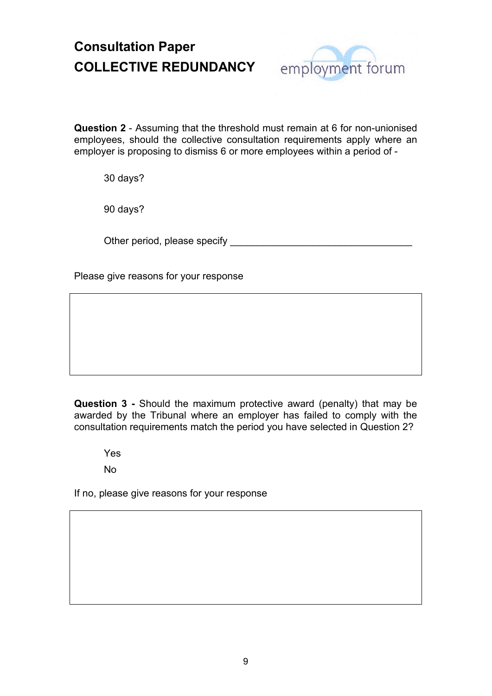

**Question 2** - Assuming that the threshold must remain at 6 for non-unionised employees, should the collective consultation requirements apply where an employer is proposing to dismiss 6 or more employees within a period of -

30 days?

90 days?

Other period, please specify **EXALL** 

Please give reasons for your response

**Question 3 -** Should the maximum protective award (penalty) that may be awarded by the Tribunal where an employer has failed to comply with the consultation requirements match the period you have selected in Question 2?

Yes

No

If no, please give reasons for your response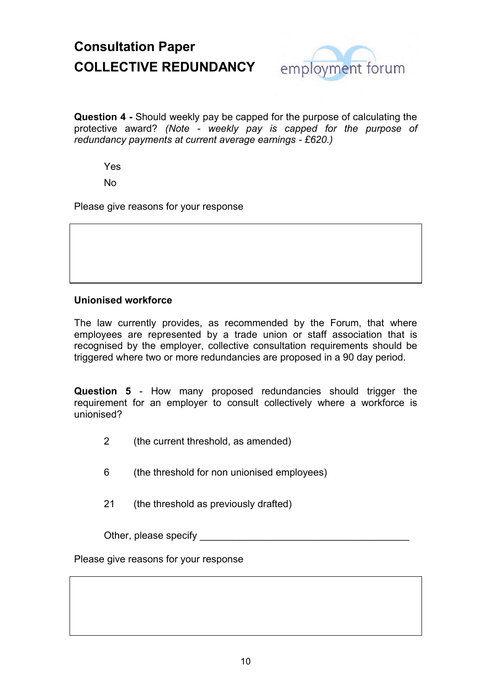

**Question 4 -** Should weekly pay be capped for the purpose of calculating the protective award? *(Note - weekly pay is capped for the purpose of redundancy payments at current average earnings - £620.)*

Yes

No

Please give reasons for your response

### **Unionised workforce**

The law currently provides, as recommended by the Forum, that where employees are represented by a trade union or staff association that is recognised by the employer, collective consultation requirements should be triggered where two or more redundancies are proposed in a 90 day period.

**Question 5** - How many proposed redundancies should trigger the requirement for an employer to consult collectively where a workforce is unionised?

2 (the current threshold, as amended)

6 (the threshold for non unionised employees)

21 (the threshold as previously drafted)

Other, please specify

Please give reasons for your response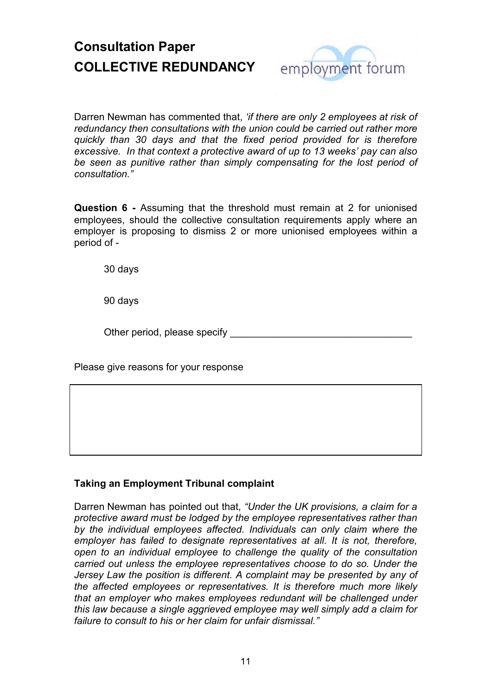

Darren Newman has commented that, *'if there are only 2 employees at risk of redundancy then consultations with the union could be carried out rather more quickly than 30 days and that the fixed period provided for is therefore excessive. In that context a protective award of up to 13 weeks' pay can also be seen as punitive rather than simply compensating for the lost period of consultation."*

**Question 6 -** Assuming that the threshold must remain at 2 for unionised employees, should the collective consultation requirements apply where an employer is proposing to dismiss 2 or more unionised employees within a period of -

30 days

90 days

Other period, please specify

Please give reasons for your response

### **Taking an Employment Tribunal complaint**

Darren Newman has pointed out that, *"Under the UK provisions, a claim for a protective award must be lodged by the employee representatives rather than by the individual employees affected. Individuals can only claim where the employer has failed to designate representatives at all. It is not, therefore, open to an individual employee to challenge the quality of the consultation carried out unless the employee representatives choose to do so. Under the Jersey Law the position is different. A complaint may be presented by any of the affected employees or representatives. It is therefore much more likely that an employer who makes employees redundant will be challenged under this law because a single aggrieved employee may well simply add a claim for failure to consult to his or her claim for unfair dismissal."*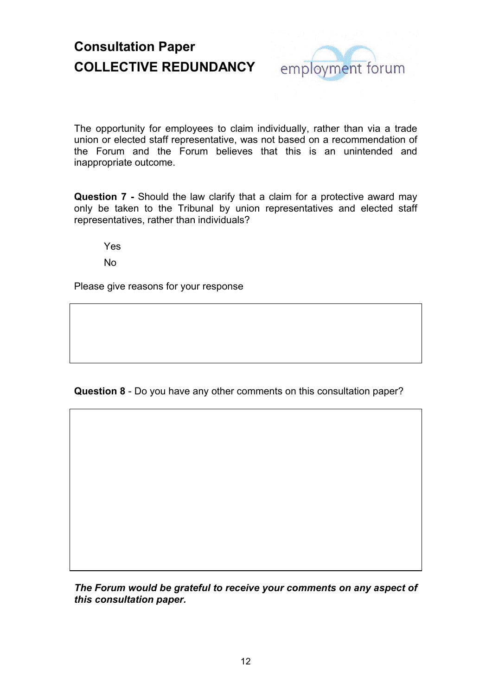

The opportunity for employees to claim individually, rather than via a trade union or elected staff representative, was not based on a recommendation of the Forum and the Forum believes that this is an unintended and inappropriate outcome.

**Question 7 -** Should the law clarify that a claim for a protective award may only be taken to the Tribunal by union representatives and elected staff representatives, rather than individuals?

Yes

No

Please give reasons for your response

**Question 8** - Do you have any other comments on this consultation paper?

*The Forum would be grateful to receive your comments on any aspect of this consultation paper.*